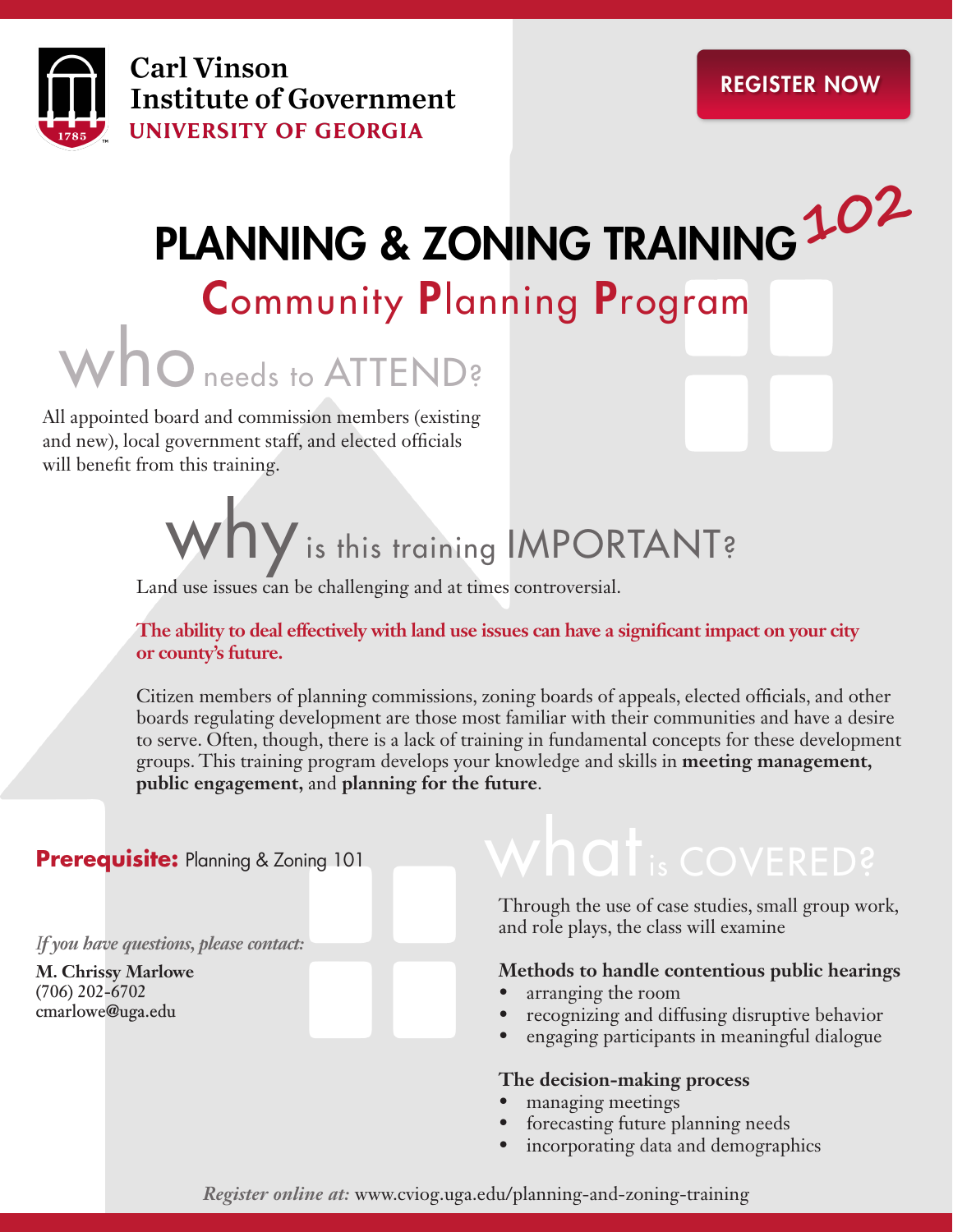

## PLANNING & ZONING TRAINING **102**

## Community Planning Program

whoneeds to ATTEND?

All appointed board and commission members (existing and new), local government staff, and elected officials will benefit from this training.

# Why is this training IMPORTANT?

Land use issues can be challenging and at times controversial.

**The ability to deal effectively with land use issues can have a significant impact on your city or county's future.** 

Citizen members of planning commissions, zoning boards of appeals, elected officials, and other boards regulating development are those most familiar with their communities and have a desire to serve. Often, though, there is a lack of training in fundamental concepts for these development groups. This training program develops your knowledge and skills in **meeting management, public engagement,** and **planning for the future**.

#### **Prerequisite: Planning & Zoning 101**

*If you have questions, please contact:*

**M. Chrissy Marlowe (706) 202-6702 cmarlowe@uga.edu**

## $w$ hat  $_{is}$  covered?

Through the use of case studies, small group work, and role plays, the class will examine

#### **Methods to handle contentious public hearings**

- arranging the room
- recognizing and diffusing disruptive behavior
- engaging participants in meaningful dialogue

#### **The decision-making process**

- managing meetings
- forecasting future planning needs
- incorporating data and demographics

#### *Register online at:* www.cviog.uga.edu/planning-and-zoning-training